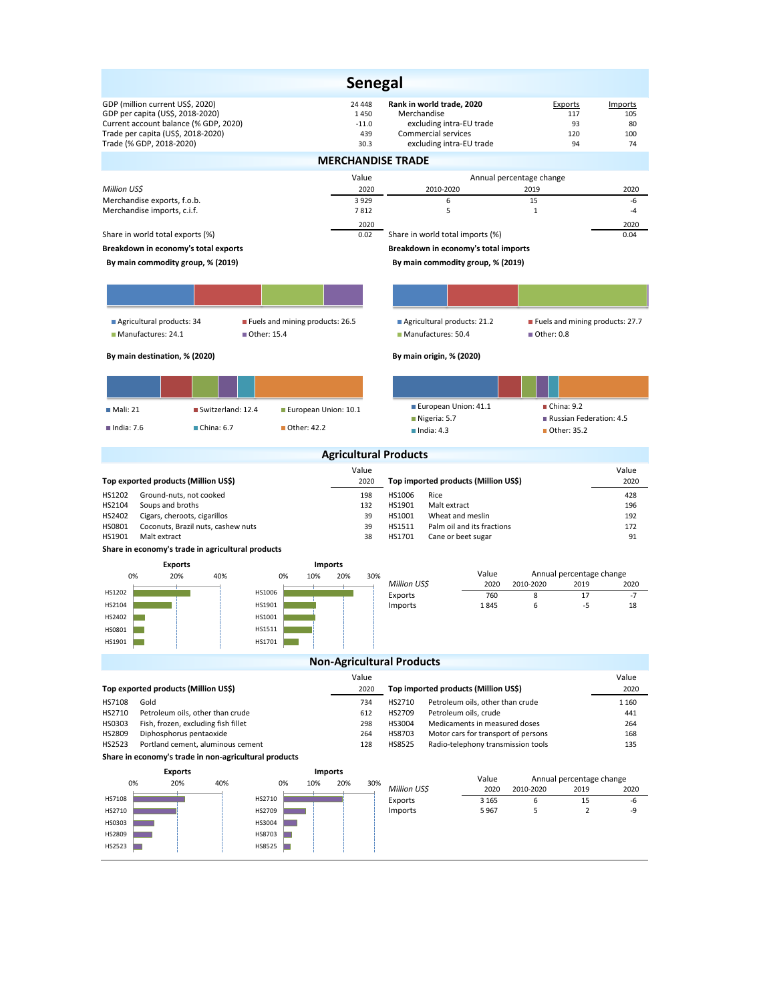|                                                                                                                                                                                 |                                 |                                  | <b>Senegal</b>                                                  |                                   |                                                                                                          |                                     |                                       |                                 |                                   |  |
|---------------------------------------------------------------------------------------------------------------------------------------------------------------------------------|---------------------------------|----------------------------------|-----------------------------------------------------------------|-----------------------------------|----------------------------------------------------------------------------------------------------------|-------------------------------------|---------------------------------------|---------------------------------|-----------------------------------|--|
| GDP (million current US\$, 2020)<br>GDP per capita (US\$, 2018-2020)<br>Current account balance (% GDP, 2020)<br>Trade per capita (US\$, 2018-2020)<br>Trade (% GDP, 2018-2020) |                                 |                                  | 24 4 48<br>1450<br>$-11.0$<br>439<br>30.3                       | Merchandise                       | Rank in world trade, 2020<br>excluding intra-EU trade<br>Commercial services<br>excluding intra-EU trade |                                     | Exports                               | 117<br>93<br>120<br>94          | Imports<br>105<br>80<br>100<br>74 |  |
|                                                                                                                                                                                 |                                 |                                  |                                                                 | <b>MERCHANDISE TRADE</b>          |                                                                                                          |                                     |                                       |                                 |                                   |  |
| Million US\$                                                                                                                                                                    |                                 |                                  | Value<br>2020                                                   |                                   | 2010-2020                                                                                                | Annual percentage change            | 2019                                  |                                 | 2020                              |  |
| Merchandise exports, f.o.b.                                                                                                                                                     |                                 |                                  | 3 9 2 9                                                         |                                   | 6                                                                                                        |                                     | 15                                    |                                 | -6                                |  |
| Merchandise imports, c.i.f.                                                                                                                                                     |                                 |                                  | 7812                                                            |                                   | 5                                                                                                        |                                     | 1                                     |                                 | $-4$                              |  |
| Share in world total exports (%)                                                                                                                                                |                                 |                                  | 2020<br>0.02                                                    |                                   | Share in world total imports (%)                                                                         |                                     |                                       |                                 | 2020<br>0.04                      |  |
| Breakdown in economy's total exports                                                                                                                                            |                                 |                                  |                                                                 |                                   | Breakdown in economy's total imports                                                                     |                                     |                                       |                                 |                                   |  |
| By main commodity group, % (2019)                                                                                                                                               |                                 |                                  |                                                                 |                                   | By main commodity group, % (2019)                                                                        |                                     |                                       |                                 |                                   |  |
|                                                                                                                                                                                 |                                 |                                  |                                                                 |                                   |                                                                                                          |                                     |                                       |                                 |                                   |  |
| Agricultural products: 34<br>Manufactures: 24.1                                                                                                                                 | Fuels and mining products: 26.5 |                                  | Agricultural products: 21.2<br>Manufactures: 50.4<br>Other: 0.8 |                                   |                                                                                                          |                                     |                                       | Fuels and mining products: 27.7 |                                   |  |
| By main destination, % (2020)                                                                                                                                                   |                                 |                                  |                                                                 |                                   | By main origin, % (2020)                                                                                 |                                     |                                       |                                 |                                   |  |
|                                                                                                                                                                                 |                                 |                                  |                                                                 |                                   |                                                                                                          |                                     |                                       |                                 |                                   |  |
| ■ Mali: 21                                                                                                                                                                      | Switzerland: 12.4               | European Union: 10.1             |                                                                 |                                   | European Union: 41.1                                                                                     |                                     | $\blacksquare$ China: 9.2             |                                 |                                   |  |
| $\blacksquare$ India: 7.6                                                                                                                                                       | China: 6.7                      | Other: 42.2                      |                                                                 |                                   | $\blacksquare$ Nigeria: 5.7<br>$l$ India: 4.3                                                            |                                     | ■ Other: 35.2                         | Russian Federation: 4.5         |                                   |  |
|                                                                                                                                                                                 |                                 |                                  |                                                                 | <b>Agricultural Products</b>      |                                                                                                          |                                     |                                       |                                 |                                   |  |
|                                                                                                                                                                                 |                                 |                                  | Value                                                           |                                   |                                                                                                          |                                     |                                       |                                 | Value                             |  |
| Top exported products (Million US\$)<br>HS1202<br>Ground-nuts, not cooked                                                                                                       |                                 |                                  | 2020<br>198                                                     | HS1006                            | Top imported products (Million US\$)<br>Rice                                                             |                                     |                                       |                                 | 2020<br>428                       |  |
| HS2104<br>Soups and broths                                                                                                                                                      |                                 |                                  | 132                                                             | HS1901                            | Malt extract                                                                                             |                                     |                                       |                                 | 196                               |  |
| HS2402<br>Cigars, cheroots, cigarillos<br>HS0801<br>Coconuts, Brazil nuts, cashew nuts                                                                                          |                                 |                                  | 39<br>39                                                        | HS1001<br>HS1511                  | Wheat and meslin<br>Palm oil and its fractions                                                           |                                     |                                       |                                 | 192<br>172                        |  |
| HS1901<br>Malt extract                                                                                                                                                          |                                 |                                  | 38                                                              | HS1701                            | Cane or beet sugar                                                                                       |                                     |                                       |                                 | 91                                |  |
| Share in economy's trade in agricultural products                                                                                                                               |                                 |                                  |                                                                 |                                   |                                                                                                          |                                     |                                       |                                 |                                   |  |
| <b>Exports</b><br>20%<br>0%                                                                                                                                                     | 40%<br>0%                       | <b>Imports</b><br>10%<br>20%     | 30%                                                             | Value<br>Annual percentage change |                                                                                                          |                                     |                                       |                                 |                                   |  |
| HS1202                                                                                                                                                                          | HS1006                          |                                  |                                                                 | Million US\$                      |                                                                                                          | 2020                                | 2010-2020                             | 2019                            | 2020                              |  |
| HS2104                                                                                                                                                                          | HS1901                          |                                  |                                                                 | Exports<br>Imports                |                                                                                                          | 760<br>1845                         | 8<br>6                                | 17<br>-5                        | $-7$<br>18                        |  |
| HS2402                                                                                                                                                                          | HS1001                          |                                  |                                                                 |                                   |                                                                                                          |                                     |                                       |                                 |                                   |  |
| HS0801                                                                                                                                                                          | HS1511                          |                                  |                                                                 |                                   |                                                                                                          |                                     |                                       |                                 |                                   |  |
| HS1901                                                                                                                                                                          | HS1701                          | <b>Non-Agricultural Products</b> |                                                                 |                                   |                                                                                                          |                                     |                                       |                                 |                                   |  |
|                                                                                                                                                                                 |                                 |                                  | Value                                                           |                                   |                                                                                                          |                                     |                                       |                                 | Value                             |  |
| Top exported products (Million US\$)                                                                                                                                            |                                 |                                  | 2020                                                            |                                   | Top imported products (Million US\$)                                                                     |                                     |                                       |                                 | 2020                              |  |
| HS7108<br>Gold                                                                                                                                                                  |                                 |                                  | 734                                                             | HS2710                            |                                                                                                          | Petroleum oils, other than crude    |                                       |                                 | 1 1 6 0                           |  |
| HS2710<br>Petroleum oils, other than crude<br>HS0303<br>Fish, frozen, excluding fish fillet                                                                                     |                                 |                                  | 612<br>298                                                      | HS2709<br>HS3004                  | Petroleum oils, crude                                                                                    | Medicaments in measured doses       |                                       |                                 | 441<br>264                        |  |
| HS2809<br>Diphosphorus pentaoxide                                                                                                                                               |                                 |                                  | 264                                                             | HS8703                            |                                                                                                          | Motor cars for transport of persons |                                       |                                 | 168                               |  |
| HS2523<br>Portland cement, aluminous cement                                                                                                                                     |                                 | 128                              | HS8525                                                          |                                   | Radio-telephony transmission tools                                                                       |                                     |                                       | 135                             |                                   |  |
| Share in economy's trade in non-agricultural products<br><b>Exports</b>                                                                                                         |                                 | Imports                          |                                                                 |                                   |                                                                                                          |                                     |                                       |                                 |                                   |  |
| 20%<br>0%                                                                                                                                                                       | 40%<br>0%                       | 10%<br>20%                       | 30%                                                             | Million US\$                      |                                                                                                          | Value<br>2020                       | Annual percentage change<br>2010-2020 | 2019                            |                                   |  |
| HS7108                                                                                                                                                                          | HS2710                          |                                  |                                                                 | Exports                           |                                                                                                          | 3 1 6 5                             | 6                                     | 15                              | 2020<br>-6                        |  |
| HS2710                                                                                                                                                                          | HS2709                          |                                  |                                                                 | Imports                           |                                                                                                          | 5967                                | 5                                     | $\overline{2}$                  | -9                                |  |
| HS0303<br>HS2809                                                                                                                                                                | HS3004<br>HS8703                |                                  |                                                                 |                                   |                                                                                                          |                                     |                                       |                                 |                                   |  |
| HS2523                                                                                                                                                                          | HS8525                          |                                  |                                                                 |                                   |                                                                                                          |                                     |                                       |                                 |                                   |  |
|                                                                                                                                                                                 |                                 |                                  |                                                                 |                                   |                                                                                                          |                                     |                                       |                                 |                                   |  |